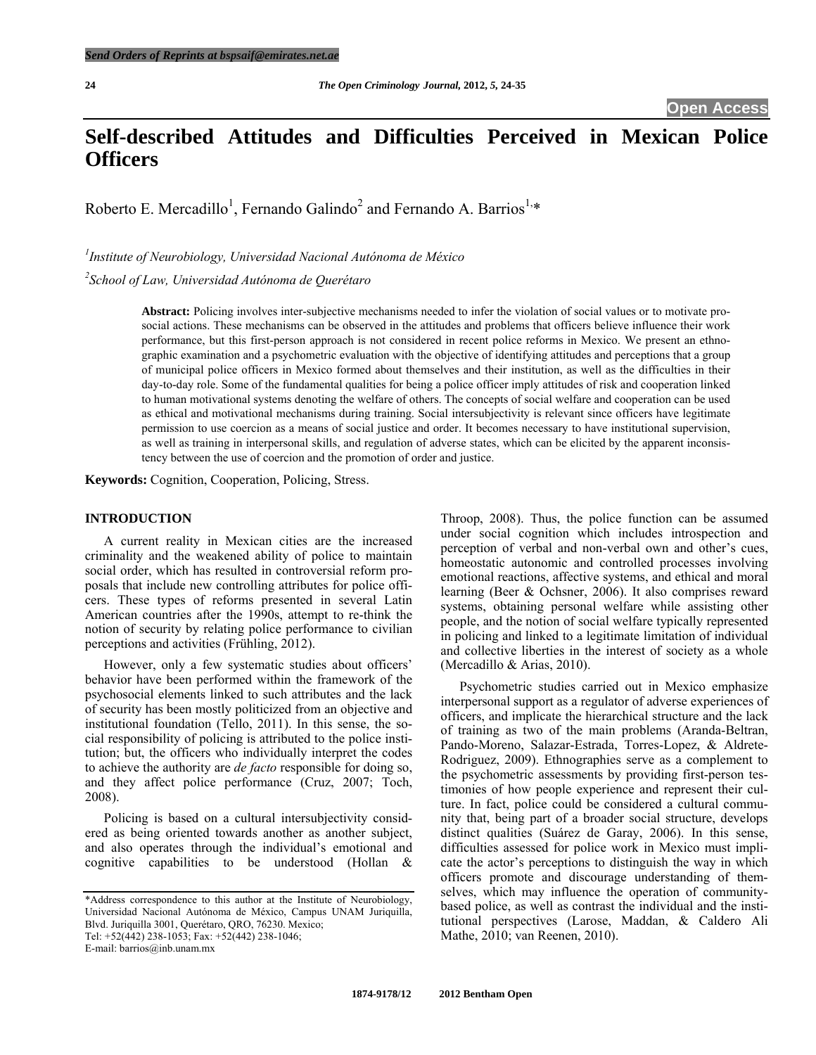# **Self-described Attitudes and Difficulties Perceived in Mexican Police Officers**

Roberto E. Mercadillo<sup>1</sup>, Fernando Galindo<sup>2</sup> and Fernando A. Barrios<sup>1,\*</sup>

*1 Institute of Neurobiology, Universidad Nacional Autónoma de México* 

*2 School of Law, Universidad Autónoma de Querétaro* 

**Abstract:** Policing involves inter-subjective mechanisms needed to infer the violation of social values or to motivate prosocial actions. These mechanisms can be observed in the attitudes and problems that officers believe influence their work performance, but this first-person approach is not considered in recent police reforms in Mexico. We present an ethnographic examination and a psychometric evaluation with the objective of identifying attitudes and perceptions that a group of municipal police officers in Mexico formed about themselves and their institution, as well as the difficulties in their day-to-day role. Some of the fundamental qualities for being a police officer imply attitudes of risk and cooperation linked to human motivational systems denoting the welfare of others. The concepts of social welfare and cooperation can be used as ethical and motivational mechanisms during training. Social intersubjectivity is relevant since officers have legitimate permission to use coercion as a means of social justice and order. It becomes necessary to have institutional supervision, as well as training in interpersonal skills, and regulation of adverse states, which can be elicited by the apparent inconsistency between the use of coercion and the promotion of order and justice.

**Keywords:** Cognition, Cooperation, Policing, Stress.

## **INTRODUCTION**

 A current reality in Mexican cities are the increased criminality and the weakened ability of police to maintain social order, which has resulted in controversial reform proposals that include new controlling attributes for police officers. These types of reforms presented in several Latin American countries after the 1990s, attempt to re-think the notion of security by relating police performance to civilian perceptions and activities (Frühling, 2012).

 However, only a few systematic studies about officers' behavior have been performed within the framework of the psychosocial elements linked to such attributes and the lack of security has been mostly politicized from an objective and institutional foundation (Tello, 2011). In this sense, the social responsibility of policing is attributed to the police institution; but, the officers who individually interpret the codes to achieve the authority are *de facto* responsible for doing so, and they affect police performance (Cruz, 2007; Toch, 2008).

 Policing is based on a cultural intersubjectivity considered as being oriented towards another as another subject, and also operates through the individual's emotional and cognitive capabilities to be understood (Hollan &

E-mail: barrios@inb.unam.mx

Throop, 2008). Thus, the police function can be assumed under social cognition which includes introspection and perception of verbal and non-verbal own and other's cues, homeostatic autonomic and controlled processes involving emotional reactions, affective systems, and ethical and moral learning (Beer & Ochsner, 2006). It also comprises reward systems, obtaining personal welfare while assisting other people, and the notion of social welfare typically represented in policing and linked to a legitimate limitation of individual and collective liberties in the interest of society as a whole (Mercadillo & Arias, 2010).

 Psychometric studies carried out in Mexico emphasize interpersonal support as a regulator of adverse experiences of officers, and implicate the hierarchical structure and the lack of training as two of the main problems (Aranda-Beltran, Pando-Moreno, Salazar-Estrada, Torres-Lopez, & Aldrete-Rodriguez, 2009). Ethnographies serve as a complement to the psychometric assessments by providing first-person testimonies of how people experience and represent their culture. In fact, police could be considered a cultural community that, being part of a broader social structure, develops distinct qualities (Suárez de Garay, 2006). In this sense, difficulties assessed for police work in Mexico must implicate the actor's perceptions to distinguish the way in which officers promote and discourage understanding of themselves, which may influence the operation of communitybased police, as well as contrast the individual and the institutional perspectives (Larose, Maddan, & Caldero Ali Mathe, 2010; van Reenen, 2010).

<sup>\*</sup>Address correspondence to this author at the Institute of Neurobiology, Universidad Nacional Autónoma de México, Campus UNAM Juriquilla, Blvd. Juriquilla 3001, Querétaro, QRO, 76230. Mexico; Tel: +52(442) 238-1053; Fax: +52(442) 238-1046;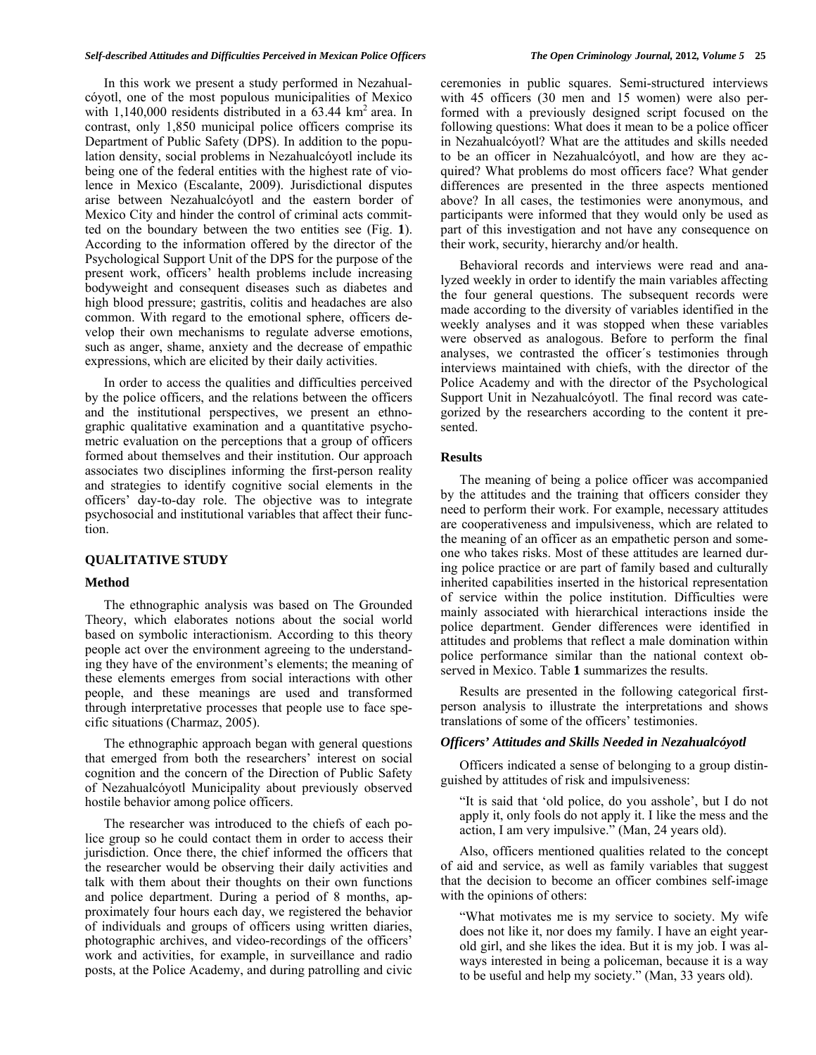In this work we present a study performed in Nezahualcóyotl, one of the most populous municipalities of Mexico with  $1,140,000$  residents distributed in a 63.44 km<sup>2</sup> area. In contrast, only 1,850 municipal police officers comprise its Department of Public Safety (DPS). In addition to the population density, social problems in Nezahualcóyotl include its being one of the federal entities with the highest rate of violence in Mexico (Escalante, 2009). Jurisdictional disputes arise between Nezahualcóyotl and the eastern border of Mexico City and hinder the control of criminal acts committed on the boundary between the two entities see (Fig. **1**). According to the information offered by the director of the Psychological Support Unit of the DPS for the purpose of the present work, officers' health problems include increasing bodyweight and consequent diseases such as diabetes and high blood pressure; gastritis, colitis and headaches are also common. With regard to the emotional sphere, officers develop their own mechanisms to regulate adverse emotions, such as anger, shame, anxiety and the decrease of empathic expressions, which are elicited by their daily activities.

 In order to access the qualities and difficulties perceived by the police officers, and the relations between the officers and the institutional perspectives, we present an ethnographic qualitative examination and a quantitative psychometric evaluation on the perceptions that a group of officers formed about themselves and their institution. Our approach associates two disciplines informing the first-person reality and strategies to identify cognitive social elements in the officers' day-to-day role. The objective was to integrate psychosocial and institutional variables that affect their function.

## **QUALITATIVE STUDY**

#### **Method**

 The ethnographic analysis was based on The Grounded Theory, which elaborates notions about the social world based on symbolic interactionism. According to this theory people act over the environment agreeing to the understanding they have of the environment's elements; the meaning of these elements emerges from social interactions with other people, and these meanings are used and transformed through interpretative processes that people use to face specific situations (Charmaz, 2005).

 The ethnographic approach began with general questions that emerged from both the researchers' interest on social cognition and the concern of the Direction of Public Safety of Nezahualcóyotl Municipality about previously observed hostile behavior among police officers.

 The researcher was introduced to the chiefs of each police group so he could contact them in order to access their jurisdiction. Once there, the chief informed the officers that the researcher would be observing their daily activities and talk with them about their thoughts on their own functions and police department. During a period of 8 months, approximately four hours each day, we registered the behavior of individuals and groups of officers using written diaries, photographic archives, and video-recordings of the officers' work and activities, for example, in surveillance and radio posts, at the Police Academy, and during patrolling and civic

ceremonies in public squares. Semi-structured interviews with 45 officers (30 men and 15 women) were also performed with a previously designed script focused on the following questions: What does it mean to be a police officer in Nezahualcóyotl? What are the attitudes and skills needed to be an officer in Nezahualcóyotl, and how are they acquired? What problems do most officers face? What gender differences are presented in the three aspects mentioned above? In all cases, the testimonies were anonymous, and participants were informed that they would only be used as part of this investigation and not have any consequence on their work, security, hierarchy and/or health.

 Behavioral records and interviews were read and analyzed weekly in order to identify the main variables affecting the four general questions. The subsequent records were made according to the diversity of variables identified in the weekly analyses and it was stopped when these variables were observed as analogous. Before to perform the final analyses, we contrasted the officer´s testimonies through interviews maintained with chiefs, with the director of the Police Academy and with the director of the Psychological Support Unit in Nezahualcóyotl. The final record was categorized by the researchers according to the content it presented.

## **Results**

 The meaning of being a police officer was accompanied by the attitudes and the training that officers consider they need to perform their work. For example, necessary attitudes are cooperativeness and impulsiveness, which are related to the meaning of an officer as an empathetic person and someone who takes risks. Most of these attitudes are learned during police practice or are part of family based and culturally inherited capabilities inserted in the historical representation of service within the police institution. Difficulties were mainly associated with hierarchical interactions inside the police department. Gender differences were identified in attitudes and problems that reflect a male domination within police performance similar than the national context observed in Mexico. Table **1** summarizes the results.

 Results are presented in the following categorical firstperson analysis to illustrate the interpretations and shows translations of some of the officers' testimonies.

#### *Officers' Attitudes and Skills Needed in Nezahualcóyotl*

 Officers indicated a sense of belonging to a group distinguished by attitudes of risk and impulsiveness:

 "It is said that 'old police, do you asshole', but I do not apply it, only fools do not apply it. I like the mess and the action, I am very impulsive." (Man, 24 years old).

 Also, officers mentioned qualities related to the concept of aid and service, as well as family variables that suggest that the decision to become an officer combines self-image with the opinions of others:

 "What motivates me is my service to society. My wife does not like it, nor does my family. I have an eight yearold girl, and she likes the idea. But it is my job. I was always interested in being a policeman, because it is a way to be useful and help my society." (Man, 33 years old).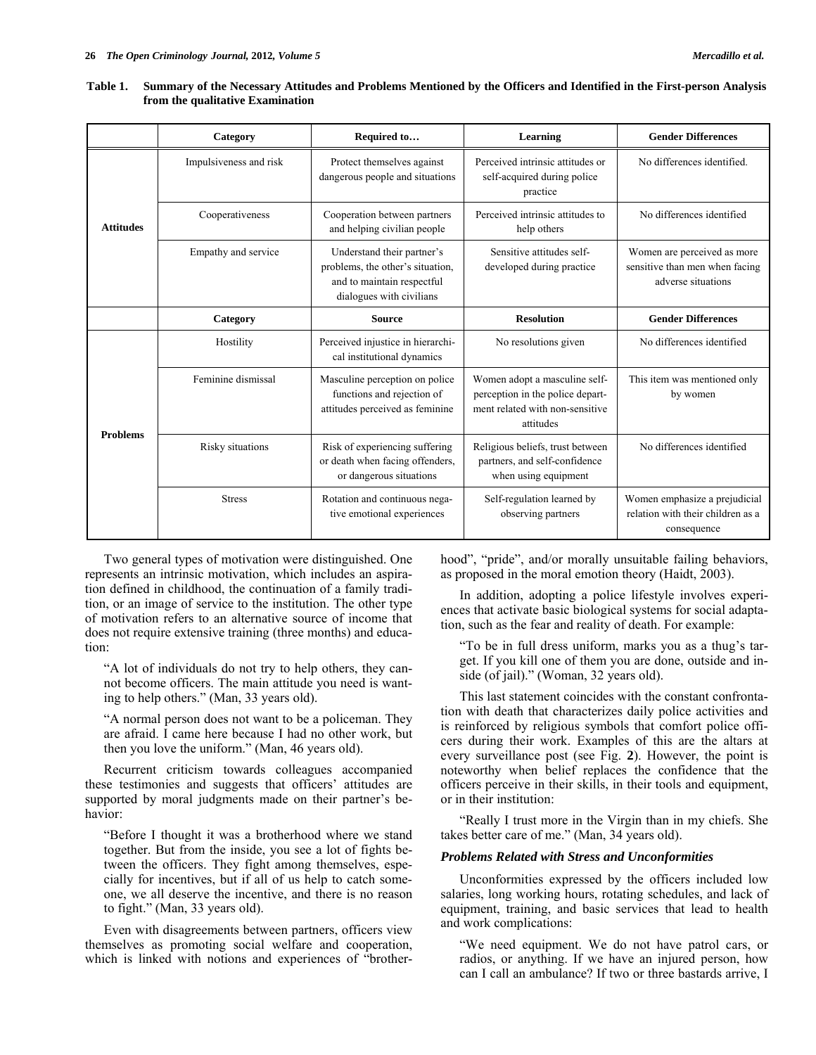|                  | Category               | Required to                                                                                                              | Learning                                                                                                          | <b>Gender Differences</b>                                                           |  |
|------------------|------------------------|--------------------------------------------------------------------------------------------------------------------------|-------------------------------------------------------------------------------------------------------------------|-------------------------------------------------------------------------------------|--|
| <b>Attitudes</b> | Impulsiveness and risk | Protect themselves against<br>dangerous people and situations                                                            | Perceived intrinsic attitudes or<br>self-acquired during police<br>practice                                       | No differences identified.                                                          |  |
|                  | Cooperativeness        | Cooperation between partners<br>and helping civilian people                                                              | Perceived intrinsic attitudes to<br>help others                                                                   | No differences identified                                                           |  |
|                  | Empathy and service    | Understand their partner's<br>problems, the other's situation,<br>and to maintain respectful<br>dialogues with civilians | Sensitive attitudes self-<br>developed during practice                                                            | Women are perceived as more<br>sensitive than men when facing<br>adverse situations |  |
|                  | Category               | <b>Source</b>                                                                                                            | <b>Resolution</b>                                                                                                 | <b>Gender Differences</b>                                                           |  |
| <b>Problems</b>  | Hostility              | Perceived injustice in hierarchi-<br>cal institutional dynamics                                                          | No resolutions given                                                                                              | No differences identified                                                           |  |
|                  | Feminine dismissal     | Masculine perception on police<br>functions and rejection of<br>attitudes perceived as feminine                          | Women adopt a masculine self-<br>perception in the police depart-<br>ment related with non-sensitive<br>attitudes | This item was mentioned only<br>by women                                            |  |
|                  | Risky situations       | Risk of experiencing suffering<br>or death when facing offenders,<br>or dangerous situations                             | Religious beliefs, trust between<br>partners, and self-confidence<br>when using equipment                         | No differences identified                                                           |  |
|                  | <b>Stress</b>          | Rotation and continuous nega-<br>tive emotional experiences                                                              | Self-regulation learned by<br>observing partners                                                                  | Women emphasize a prejudicial<br>relation with their children as a<br>consequence   |  |

| Table 1. Summary of the Necessary Attitudes and Problems Mentioned by the Officers and Identified in the First-person Analysis |
|--------------------------------------------------------------------------------------------------------------------------------|
| from the qualitative Examination                                                                                               |

 Two general types of motivation were distinguished. One represents an intrinsic motivation, which includes an aspiration defined in childhood, the continuation of a family tradition, or an image of service to the institution. The other type of motivation refers to an alternative source of income that does not require extensive training (three months) and education:

 "A lot of individuals do not try to help others, they cannot become officers. The main attitude you need is wanting to help others." (Man, 33 years old).

 "A normal person does not want to be a policeman. They are afraid. I came here because I had no other work, but then you love the uniform." (Man, 46 years old).

 Recurrent criticism towards colleagues accompanied these testimonies and suggests that officers' attitudes are supported by moral judgments made on their partner's behavior:

 "Before I thought it was a brotherhood where we stand together. But from the inside, you see a lot of fights between the officers. They fight among themselves, especially for incentives, but if all of us help to catch someone, we all deserve the incentive, and there is no reason to fight." (Man, 33 years old).

 Even with disagreements between partners, officers view themselves as promoting social welfare and cooperation, which is linked with notions and experiences of "brotherhood", "pride", and/or morally unsuitable failing behaviors, as proposed in the moral emotion theory (Haidt, 2003).

 In addition, adopting a police lifestyle involves experiences that activate basic biological systems for social adaptation, such as the fear and reality of death. For example:

 "To be in full dress uniform, marks you as a thug's target. If you kill one of them you are done, outside and inside (of jail)." (Woman, 32 years old).

 This last statement coincides with the constant confrontation with death that characterizes daily police activities and is reinforced by religious symbols that comfort police officers during their work. Examples of this are the altars at every surveillance post (see Fig. **2**). However, the point is noteworthy when belief replaces the confidence that the officers perceive in their skills, in their tools and equipment, or in their institution:

 "Really I trust more in the Virgin than in my chiefs. She takes better care of me." (Man, 34 years old).

## *Problems Related with Stress and Unconformities*

 Unconformities expressed by the officers included low salaries, long working hours, rotating schedules, and lack of equipment, training, and basic services that lead to health and work complications:

 "We need equipment. We do not have patrol cars, or radios, or anything. If we have an injured person, how can I call an ambulance? If two or three bastards arrive, I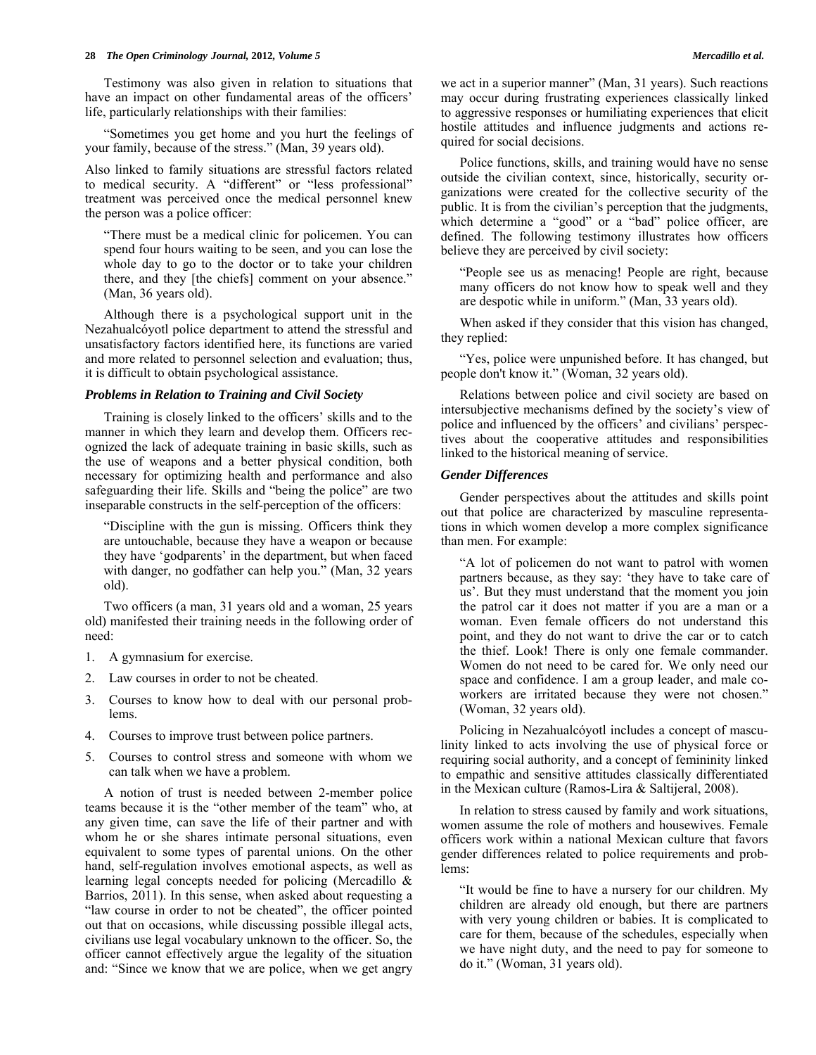Testimony was also given in relation to situations that have an impact on other fundamental areas of the officers' life, particularly relationships with their families:

 "Sometimes you get home and you hurt the feelings of your family, because of the stress." (Man, 39 years old).

Also linked to family situations are stressful factors related to medical security. A "different" or "less professional" treatment was perceived once the medical personnel knew the person was a police officer:

 "There must be a medical clinic for policemen. You can spend four hours waiting to be seen, and you can lose the whole day to go to the doctor or to take your children there, and they [the chiefs] comment on your absence." (Man, 36 years old).

 Although there is a psychological support unit in the Nezahualcóyotl police department to attend the stressful and unsatisfactory factors identified here, its functions are varied and more related to personnel selection and evaluation; thus, it is difficult to obtain psychological assistance.

#### *Problems in Relation to Training and Civil Society*

 Training is closely linked to the officers' skills and to the manner in which they learn and develop them. Officers recognized the lack of adequate training in basic skills, such as the use of weapons and a better physical condition, both necessary for optimizing health and performance and also safeguarding their life. Skills and "being the police" are two inseparable constructs in the self-perception of the officers:

 "Discipline with the gun is missing. Officers think they are untouchable, because they have a weapon or because they have 'godparents' in the department, but when faced with danger, no godfather can help you." (Man, 32 years old).

 Two officers (a man, 31 years old and a woman, 25 years old) manifested their training needs in the following order of need:

- 1. A gymnasium for exercise.
- 2. Law courses in order to not be cheated.
- 3. Courses to know how to deal with our personal problems.
- 4. Courses to improve trust between police partners.
- 5. Courses to control stress and someone with whom we can talk when we have a problem.

 A notion of trust is needed between 2-member police teams because it is the "other member of the team" who, at any given time, can save the life of their partner and with whom he or she shares intimate personal situations, even equivalent to some types of parental unions. On the other hand, self-regulation involves emotional aspects, as well as learning legal concepts needed for policing (Mercadillo & Barrios, 2011). In this sense, when asked about requesting a "law course in order to not be cheated", the officer pointed out that on occasions, while discussing possible illegal acts, civilians use legal vocabulary unknown to the officer. So, the officer cannot effectively argue the legality of the situation and: "Since we know that we are police, when we get angry

we act in a superior manner" (Man, 31 years). Such reactions may occur during frustrating experiences classically linked to aggressive responses or humiliating experiences that elicit hostile attitudes and influence judgments and actions required for social decisions.

 Police functions, skills, and training would have no sense outside the civilian context, since, historically, security organizations were created for the collective security of the public. It is from the civilian's perception that the judgments, which determine a "good" or a "bad" police officer, are defined. The following testimony illustrates how officers believe they are perceived by civil society:

 "People see us as menacing! People are right, because many officers do not know how to speak well and they are despotic while in uniform." (Man, 33 years old).

 When asked if they consider that this vision has changed, they replied:

 "Yes, police were unpunished before. It has changed, but people don't know it." (Woman, 32 years old).

 Relations between police and civil society are based on intersubjective mechanisms defined by the society's view of police and influenced by the officers' and civilians' perspectives about the cooperative attitudes and responsibilities linked to the historical meaning of service.

## *Gender Differences*

 Gender perspectives about the attitudes and skills point out that police are characterized by masculine representations in which women develop a more complex significance than men. For example:

 "A lot of policemen do not want to patrol with women partners because, as they say: 'they have to take care of us'. But they must understand that the moment you join the patrol car it does not matter if you are a man or a woman. Even female officers do not understand this point, and they do not want to drive the car or to catch the thief. Look! There is only one female commander. Women do not need to be cared for. We only need our space and confidence. I am a group leader, and male coworkers are irritated because they were not chosen." (Woman, 32 years old).

 Policing in Nezahualcóyotl includes a concept of masculinity linked to acts involving the use of physical force or requiring social authority, and a concept of femininity linked to empathic and sensitive attitudes classically differentiated in the Mexican culture (Ramos-Lira & Saltijeral, 2008).

 In relation to stress caused by family and work situations, women assume the role of mothers and housewives. Female officers work within a national Mexican culture that favors gender differences related to police requirements and problems:

 "It would be fine to have a nursery for our children. My children are already old enough, but there are partners with very young children or babies. It is complicated to care for them, because of the schedules, especially when we have night duty, and the need to pay for someone to do it." (Woman, 31 years old).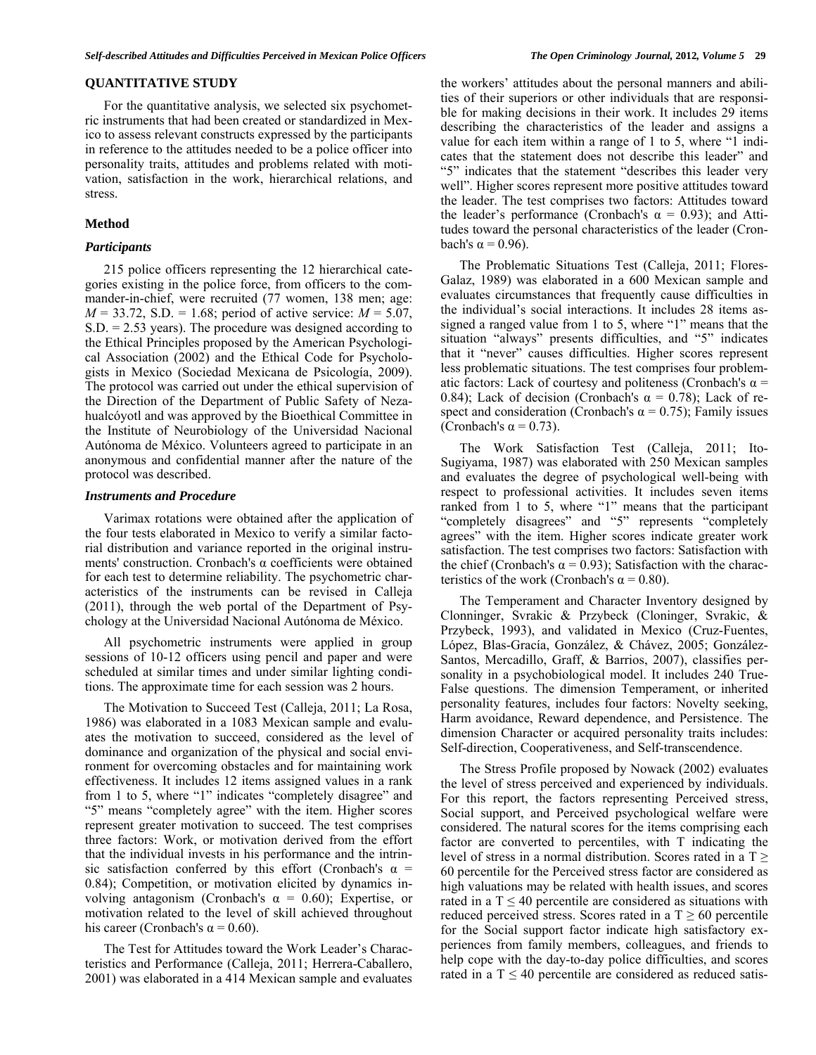# **QUANTITATIVE STUDY**

 For the quantitative analysis, we selected six psychometric instruments that had been created or standardized in Mexico to assess relevant constructs expressed by the participants in reference to the attitudes needed to be a police officer into personality traits, attitudes and problems related with motivation, satisfaction in the work, hierarchical relations, and stress.

#### **Method**

#### *Participants*

 215 police officers representing the 12 hierarchical categories existing in the police force, from officers to the commander-in-chief, were recruited (77 women, 138 men; age: *M* = 33.72, S.D. = 1.68; period of active service: *M* = 5.07, S.D. = 2.53 years). The procedure was designed according to the Ethical Principles proposed by the American Psychological Association (2002) and the Ethical Code for Psychologists in Mexico (Sociedad Mexicana de Psicología, 2009). The protocol was carried out under the ethical supervision of the Direction of the Department of Public Safety of Nezahualcóyotl and was approved by the Bioethical Committee in the Institute of Neurobiology of the Universidad Nacional Autónoma de México. Volunteers agreed to participate in an anonymous and confidential manner after the nature of the protocol was described.

#### *Instruments and Procedure*

 Varimax rotations were obtained after the application of the four tests elaborated in Mexico to verify a similar factorial distribution and variance reported in the original instruments' construction. Cronbach's  $\alpha$  coefficients were obtained for each test to determine reliability. The psychometric characteristics of the instruments can be revised in Calleja (2011), through the web portal of the Department of Psychology at the Universidad Nacional Autónoma de México.

 All psychometric instruments were applied in group sessions of 10-12 officers using pencil and paper and were scheduled at similar times and under similar lighting conditions. The approximate time for each session was 2 hours.

 The Motivation to Succeed Test (Calleja, 2011; La Rosa, 1986) was elaborated in a 1083 Mexican sample and evaluates the motivation to succeed, considered as the level of dominance and organization of the physical and social environment for overcoming obstacles and for maintaining work effectiveness. It includes 12 items assigned values in a rank from 1 to 5, where "1" indicates "completely disagree" and "5" means "completely agree" with the item. Higher scores represent greater motivation to succeed. The test comprises three factors: Work, or motivation derived from the effort that the individual invests in his performance and the intrinsic satisfaction conferred by this effort (Cronbach's  $\alpha$  = 0.84); Competition, or motivation elicited by dynamics involving antagonism (Cronbach's  $\alpha = 0.60$ ); Expertise, or motivation related to the level of skill achieved throughout his career (Cronbach's  $\alpha$  = 0.60).

 The Test for Attitudes toward the Work Leader's Characteristics and Performance (Calleja, 2011; Herrera-Caballero, 2001) was elaborated in a 414 Mexican sample and evaluates the workers' attitudes about the personal manners and abilities of their superiors or other individuals that are responsible for making decisions in their work. It includes 29 items describing the characteristics of the leader and assigns a value for each item within a range of 1 to 5, where "1 indicates that the statement does not describe this leader" and "5" indicates that the statement "describes this leader very well". Higher scores represent more positive attitudes toward the leader. The test comprises two factors: Attitudes toward the leader's performance (Cronbach's  $\alpha = 0.93$ ); and Attitudes toward the personal characteristics of the leader (Cronbach's  $α = 0.96$ ).

 The Problematic Situations Test (Calleja, 2011; Flores-Galaz, 1989) was elaborated in a 600 Mexican sample and evaluates circumstances that frequently cause difficulties in the individual's social interactions. It includes 28 items assigned a ranged value from 1 to 5, where "1" means that the situation "always" presents difficulties, and "5" indicates that it "never" causes difficulties. Higher scores represent less problematic situations. The test comprises four problematic factors: Lack of courtesy and politeness (Cronbach's  $\alpha$  = 0.84); Lack of decision (Cronbach's  $\alpha = 0.78$ ); Lack of respect and consideration (Cronbach's  $\alpha = 0.75$ ); Family issues (Cronbach's  $\alpha = 0.73$ ).

 The Work Satisfaction Test (Calleja, 2011; Ito-Sugiyama, 1987) was elaborated with 250 Mexican samples and evaluates the degree of psychological well-being with respect to professional activities. It includes seven items ranked from 1 to 5, where "1" means that the participant "completely disagrees" and "5" represents "completely agrees" with the item. Higher scores indicate greater work satisfaction. The test comprises two factors: Satisfaction with the chief (Cronbach's  $\alpha = 0.93$ ); Satisfaction with the characteristics of the work (Cronbach's  $\alpha = 0.80$ ).

 The Temperament and Character Inventory designed by Clonninger, Svrakic & Przybeck (Cloninger, Svrakic, & Przybeck, 1993), and validated in Mexico (Cruz-Fuentes, López, Blas-Gracía, González, & Chávez, 2005; González-Santos, Mercadillo, Graff, & Barrios, 2007), classifies personality in a psychobiological model. It includes 240 True-False questions. The dimension Temperament, or inherited personality features, includes four factors: Novelty seeking, Harm avoidance, Reward dependence, and Persistence. The dimension Character or acquired personality traits includes: Self-direction, Cooperativeness, and Self-transcendence.

 The Stress Profile proposed by Nowack (2002) evaluates the level of stress perceived and experienced by individuals. For this report, the factors representing Perceived stress, Social support, and Perceived psychological welfare were considered. The natural scores for the items comprising each factor are converted to percentiles, with T indicating the level of stress in a normal distribution. Scores rated in a  $T \geq$ 60 percentile for the Perceived stress factor are considered as high valuations may be related with health issues, and scores rated in a  $T \leq 40$  percentile are considered as situations with reduced perceived stress. Scores rated in a  $T \ge 60$  percentile for the Social support factor indicate high satisfactory experiences from family members, colleagues, and friends to help cope with the day-to-day police difficulties, and scores rated in a  $T \leq 40$  percentile are considered as reduced satis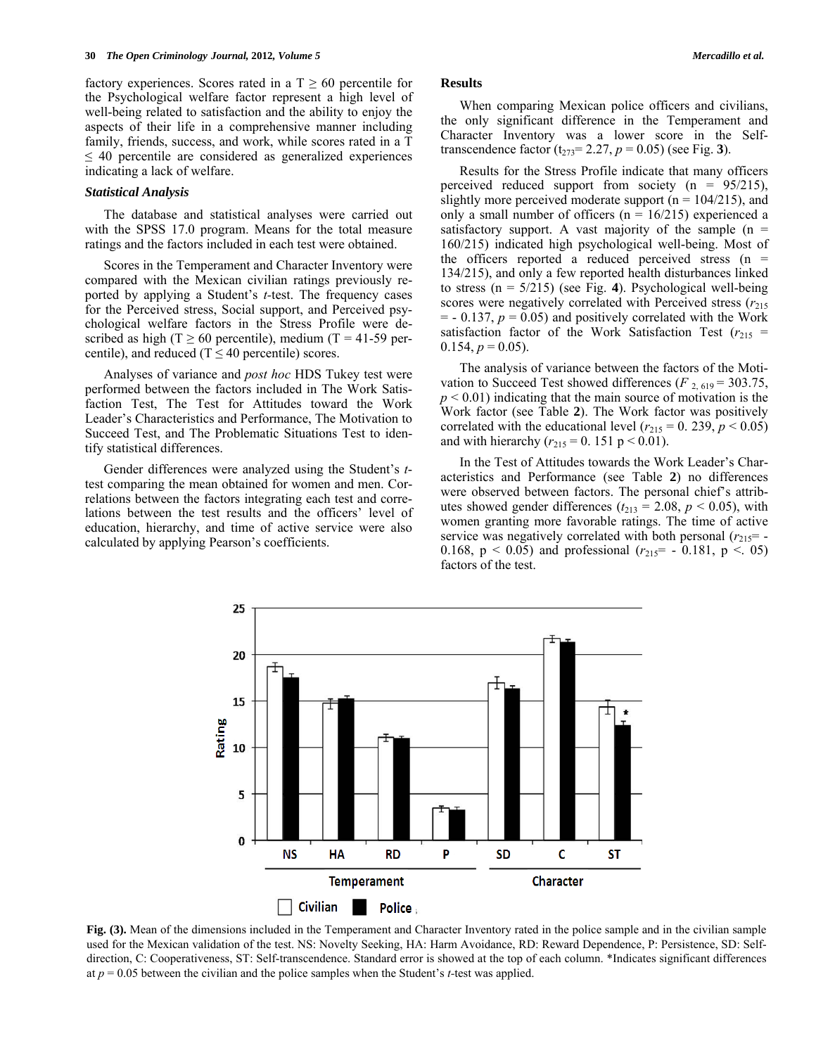factory experiences. Scores rated in a  $T \geq 60$  percentile for the Psychological welfare factor represent a high level of well-being related to satisfaction and the ability to enjoy the aspects of their life in a comprehensive manner including family, friends, success, and work, while scores rated in a T  $\leq$  40 percentile are considered as generalized experiences indicating a lack of welfare.

#### *Statistical Analysis*

 The database and statistical analyses were carried out with the SPSS 17.0 program. Means for the total measure ratings and the factors included in each test were obtained.

 Scores in the Temperament and Character Inventory were compared with the Mexican civilian ratings previously reported by applying a Student's *t-*test. The frequency cases for the Perceived stress, Social support, and Perceived psychological welfare factors in the Stress Profile were described as high (T  $\geq$  60 percentile), medium (T = 41-59 percentile), and reduced ( $T \le 40$  percentile) scores.

 Analyses of variance and *post hoc* HDS Tukey test were performed between the factors included in The Work Satisfaction Test, The Test for Attitudes toward the Work Leader's Characteristics and Performance, The Motivation to Succeed Test, and The Problematic Situations Test to identify statistical differences.

 Gender differences were analyzed using the Student's *t*test comparing the mean obtained for women and men. Correlations between the factors integrating each test and correlations between the test results and the officers' level of education, hierarchy, and time of active service were also calculated by applying Pearson's coefficients.

## **Results**

 When comparing Mexican police officers and civilians, the only significant difference in the Temperament and Character Inventory was a lower score in the Selftranscendence factor  $(t_{273} = 2.27, p = 0.05)$  (see Fig. 3).

 Results for the Stress Profile indicate that many officers perceived reduced support from society  $(n = 95/215)$ , slightly more perceived moderate support ( $n = 104/215$ ), and only a small number of officers ( $n = 16/215$ ) experienced a satisfactory support. A vast majority of the sample  $(n =$ 160/215) indicated high psychological well-being. Most of the officers reported a reduced perceived stress  $(n =$ 134/215), and only a few reported health disturbances linked to stress (n = 5/215) (see Fig. **4**). Psychological well-being scores were negatively correlated with Perceived stress ( $r_{215}$ )  $=$  - 0.137,  $p = 0.05$ ) and positively correlated with the Work satisfaction factor of the Work Satisfaction Test  $(r_{215}$  =  $0.154, p = 0.05$ ).

 The analysis of variance between the factors of the Motivation to Succeed Test showed differences ( $F_{2,619} = 303.75$ ,  $p \leq 0.01$ ) indicating that the main source of motivation is the Work factor (see Table **2**). The Work factor was positively correlated with the educational level  $(r_{215} = 0.239, p \le 0.05)$ and with hierarchy ( $r_{215} = 0.151$  p < 0.01).

 In the Test of Attitudes towards the Work Leader's Characteristics and Performance (see Table **2**) no differences were observed between factors. The personal chief's attributes showed gender differences  $(t_{213} = 2.08, p \le 0.05)$ , with women granting more favorable ratings. The time of active service was negatively correlated with both personal  $(r_{215} = -1)$ 0.168,  $p < 0.05$ ) and professional  $(r_{215} = -0.181, p < 0.05)$ factors of the test.

**Fig. (3).** Mean of the dimensions included in the Temperament and Character Inventory rated in the police sample and in the civilian sample used for the Mexican validation of the test. NS: Novelty Seeking, HA: Harm Avoidance, RD: Reward Dependence, P: Persistence, SD: Selfdirection, C: Cooperativeness, ST: Self-transcendence. Standard error is showed at the top of each column. \*Indicates significant differences at  $p = 0.05$  between the civilian and the police samples when the Student's *t*-test was applied.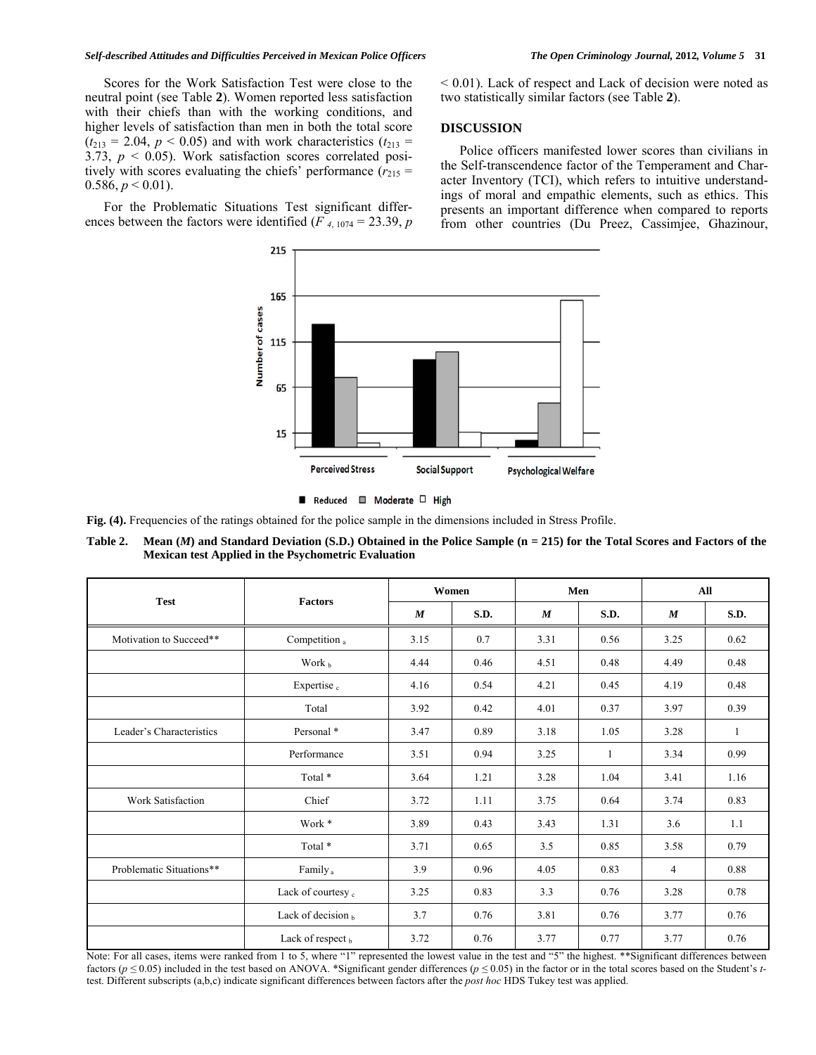#### *Self-described Attitudes and Difficulties Perceived in Mexican Police Officers The Open Criminology Journal,* **2012***, Volume 5* **31**

 Scores for the Work Satisfaction Test were close to the neutral point (see Table **2**). Women reported less satisfaction with their chiefs than with the working conditions, and higher levels of satisfaction than men in both the total score  $(t_{213} = 2.04, p < 0.05)$  and with work characteristics  $(t_{213} =$ 3.73,  $p < 0.05$ ). Work satisfaction scores correlated positively with scores evaluating the chiefs' performance  $(r_{215} =$ 0.586,  $p < 0.01$ ).

 For the Problematic Situations Test significant differences between the factors were identified ( $F_{4,1074} = 23.39$ ,  $p$  < 0.01). Lack of respect and Lack of decision were noted as two statistically similar factors (see Table **2**).

# **DISCUSSION**

 Police officers manifested lower scores than civilians in the Self-transcendence factor of the Temperament and Character Inventory (TCI), which refers to intuitive understandings of moral and empathic elements, such as ethics. This presents an important difference when compared to reports from other countries (Du Preez, Cassimjee, Ghazinour,



**Fig. (4).** Frequencies of the ratings obtained for the police sample in the dimensions included in Stress Profile.

**Table 2. Mean (***M***) and Standard Deviation (S.D.) Obtained in the Police Sample (n = 215) for the Total Scores and Factors of the Mexican test Applied in the Psychometric Evaluation** 

|                          | <b>Factors</b>       |                  | Women |                  | Men  |                  | All  |  |
|--------------------------|----------------------|------------------|-------|------------------|------|------------------|------|--|
| <b>Test</b>              |                      | $\boldsymbol{M}$ | S.D.  | $\boldsymbol{M}$ | S.D. | $\boldsymbol{M}$ | S.D. |  |
| Motivation to Succeed**  | Competition a        | 3.15             | 0.7   | 3.31             | 0.56 | 3.25             | 0.62 |  |
|                          | Work $b$             | 4.44             | 0.46  | 4.51             | 0.48 | 4.49             | 0.48 |  |
|                          | Expertise $_{c}$     | 4.16             | 0.54  | 4.21             | 0.45 | 4.19             | 0.48 |  |
|                          | Total                | 3.92             | 0.42  | 4.01             | 0.37 | 3.97             | 0.39 |  |
| Leader's Characteristics | Personal *           | 3.47             | 0.89  | 3.18             | 1.05 | 3.28             | 1    |  |
|                          | Performance          | 3.51             | 0.94  | 3.25             | 1    | 3.34             | 0.99 |  |
|                          | Total *              | 3.64             | 1.21  | 3.28             | 1.04 | 3.41             | 1.16 |  |
| Work Satisfaction        | Chief                | 3.72             | 1.11  | 3.75             | 0.64 | 3.74             | 0.83 |  |
|                          | Work *               | 3.89             | 0.43  | 3.43             | 1.31 | 3.6              | 1.1  |  |
|                          | Total *              | 3.71             | 0.65  | 3.5              | 0.85 | 3.58             | 0.79 |  |
| Problematic Situations** | Family <sub>a</sub>  | 3.9              | 0.96  | 4.05             | 0.83 | 4                | 0.88 |  |
|                          | Lack of courtesy c   | 3.25             | 0.83  | 3.3              | 0.76 | 3.28             | 0.78 |  |
|                          | Lack of decision $b$ | 3.7              | 0.76  | 3.81             | 0.76 | 3.77             | 0.76 |  |
|                          | Lack of respect b    | 3.72             | 0.76  | 3.77             | 0.77 | 3.77             | 0.76 |  |

Note: For all cases, items were ranked from 1 to 5, where "1" represented the lowest value in the test and "5" the highest. \*\*Significant differences between factors (*p ≤* 0.05) included in the test based on ANOVA. \*Significant gender differences (*p ≤* 0.05) in the factor or in the total scores based on the Student's *t*test. Different subscripts (a,b,c) indicate significant differences between factors after the *post hoc* HDS Tukey test was applied.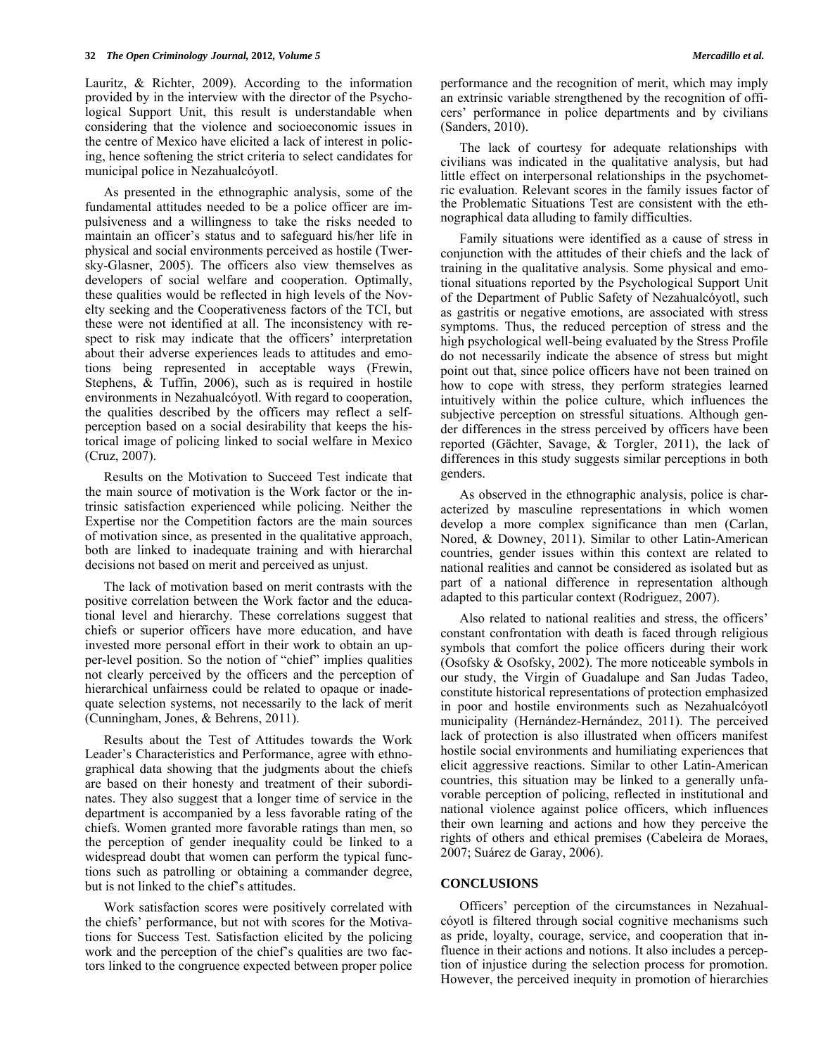Lauritz, & Richter, 2009). According to the information provided by in the interview with the director of the Psychological Support Unit, this result is understandable when considering that the violence and socioeconomic issues in the centre of Mexico have elicited a lack of interest in policing, hence softening the strict criteria to select candidates for municipal police in Nezahualcóyotl.

 As presented in the ethnographic analysis, some of the fundamental attitudes needed to be a police officer are impulsiveness and a willingness to take the risks needed to maintain an officer's status and to safeguard his/her life in physical and social environments perceived as hostile (Twersky-Glasner, 2005). The officers also view themselves as developers of social welfare and cooperation. Optimally, these qualities would be reflected in high levels of the Novelty seeking and the Cooperativeness factors of the TCI, but these were not identified at all. The inconsistency with respect to risk may indicate that the officers' interpretation about their adverse experiences leads to attitudes and emotions being represented in acceptable ways (Frewin, Stephens, & Tuffin, 2006), such as is required in hostile environments in Nezahualcóyotl. With regard to cooperation, the qualities described by the officers may reflect a selfperception based on a social desirability that keeps the historical image of policing linked to social welfare in Mexico (Cruz, 2007).

 Results on the Motivation to Succeed Test indicate that the main source of motivation is the Work factor or the intrinsic satisfaction experienced while policing. Neither the Expertise nor the Competition factors are the main sources of motivation since, as presented in the qualitative approach, both are linked to inadequate training and with hierarchal decisions not based on merit and perceived as unjust.

 The lack of motivation based on merit contrasts with the positive correlation between the Work factor and the educational level and hierarchy. These correlations suggest that chiefs or superior officers have more education, and have invested more personal effort in their work to obtain an upper-level position. So the notion of "chief" implies qualities not clearly perceived by the officers and the perception of hierarchical unfairness could be related to opaque or inadequate selection systems, not necessarily to the lack of merit (Cunningham, Jones, & Behrens, 2011).

 Results about the Test of Attitudes towards the Work Leader's Characteristics and Performance, agree with ethnographical data showing that the judgments about the chiefs are based on their honesty and treatment of their subordinates. They also suggest that a longer time of service in the department is accompanied by a less favorable rating of the chiefs. Women granted more favorable ratings than men, so the perception of gender inequality could be linked to a widespread doubt that women can perform the typical functions such as patrolling or obtaining a commander degree, but is not linked to the chief's attitudes.

 Work satisfaction scores were positively correlated with the chiefs' performance, but not with scores for the Motivations for Success Test. Satisfaction elicited by the policing work and the perception of the chief's qualities are two factors linked to the congruence expected between proper police performance and the recognition of merit, which may imply an extrinsic variable strengthened by the recognition of officers' performance in police departments and by civilians (Sanders, 2010).

 The lack of courtesy for adequate relationships with civilians was indicated in the qualitative analysis, but had little effect on interpersonal relationships in the psychometric evaluation. Relevant scores in the family issues factor of the Problematic Situations Test are consistent with the ethnographical data alluding to family difficulties.

 Family situations were identified as a cause of stress in conjunction with the attitudes of their chiefs and the lack of training in the qualitative analysis. Some physical and emotional situations reported by the Psychological Support Unit of the Department of Public Safety of Nezahualcóyotl, such as gastritis or negative emotions, are associated with stress symptoms. Thus, the reduced perception of stress and the high psychological well-being evaluated by the Stress Profile do not necessarily indicate the absence of stress but might point out that, since police officers have not been trained on how to cope with stress, they perform strategies learned intuitively within the police culture, which influences the subjective perception on stressful situations. Although gender differences in the stress perceived by officers have been reported (Gächter, Savage, & Torgler, 2011), the lack of differences in this study suggests similar perceptions in both genders.

 As observed in the ethnographic analysis, police is characterized by masculine representations in which women develop a more complex significance than men (Carlan, Nored, & Downey, 2011). Similar to other Latin-American countries, gender issues within this context are related to national realities and cannot be considered as isolated but as part of a national difference in representation although adapted to this particular context (Rodriguez, 2007).

 Also related to national realities and stress, the officers' constant confrontation with death is faced through religious symbols that comfort the police officers during their work (Osofsky & Osofsky, 2002). The more noticeable symbols in our study, the Virgin of Guadalupe and San Judas Tadeo, constitute historical representations of protection emphasized in poor and hostile environments such as Nezahualcóyotl municipality (Hernández-Hernández, 2011). The perceived lack of protection is also illustrated when officers manifest hostile social environments and humiliating experiences that elicit aggressive reactions. Similar to other Latin-American countries, this situation may be linked to a generally unfavorable perception of policing, reflected in institutional and national violence against police officers, which influences their own learning and actions and how they perceive the rights of others and ethical premises (Cabeleira de Moraes, 2007; Suárez de Garay, 2006).

# **CONCLUSIONS**

 Officers' perception of the circumstances in Nezahualcóyotl is filtered through social cognitive mechanisms such as pride, loyalty, courage, service, and cooperation that influence in their actions and notions. It also includes a perception of injustice during the selection process for promotion. However, the perceived inequity in promotion of hierarchies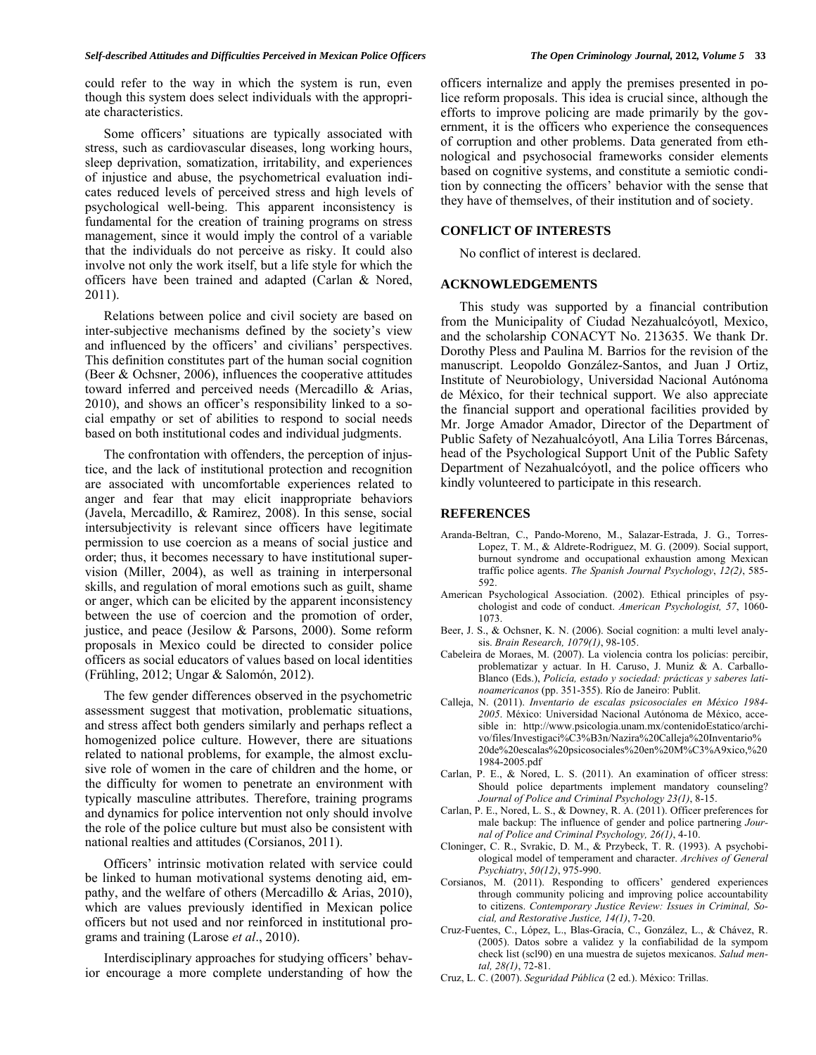could refer to the way in which the system is run, even though this system does select individuals with the appropriate characteristics.

 Some officers' situations are typically associated with stress, such as cardiovascular diseases, long working hours, sleep deprivation, somatization, irritability, and experiences of injustice and abuse, the psychometrical evaluation indicates reduced levels of perceived stress and high levels of psychological well-being. This apparent inconsistency is fundamental for the creation of training programs on stress management, since it would imply the control of a variable that the individuals do not perceive as risky. It could also involve not only the work itself, but a life style for which the officers have been trained and adapted (Carlan & Nored, 2011).

 Relations between police and civil society are based on inter-subjective mechanisms defined by the society's view and influenced by the officers' and civilians' perspectives. This definition constitutes part of the human social cognition (Beer & Ochsner, 2006), influences the cooperative attitudes toward inferred and perceived needs (Mercadillo & Arias, 2010), and shows an officer's responsibility linked to a social empathy or set of abilities to respond to social needs based on both institutional codes and individual judgments.

 The confrontation with offenders, the perception of injustice, and the lack of institutional protection and recognition are associated with uncomfortable experiences related to anger and fear that may elicit inappropriate behaviors (Javela, Mercadillo, & Ramirez, 2008). In this sense, social intersubjectivity is relevant since officers have legitimate permission to use coercion as a means of social justice and order; thus, it becomes necessary to have institutional supervision (Miller, 2004), as well as training in interpersonal skills, and regulation of moral emotions such as guilt, shame or anger, which can be elicited by the apparent inconsistency between the use of coercion and the promotion of order, justice, and peace (Jesilow & Parsons, 2000). Some reform proposals in Mexico could be directed to consider police officers as social educators of values based on local identities (Frühling, 2012; Ungar & Salomón, 2012).

 The few gender differences observed in the psychometric assessment suggest that motivation, problematic situations, and stress affect both genders similarly and perhaps reflect a homogenized police culture. However, there are situations related to national problems, for example, the almost exclusive role of women in the care of children and the home, or the difficulty for women to penetrate an environment with typically masculine attributes. Therefore, training programs and dynamics for police intervention not only should involve the role of the police culture but must also be consistent with national realties and attitudes (Corsianos, 2011).

 Officers' intrinsic motivation related with service could be linked to human motivational systems denoting aid, empathy, and the welfare of others (Mercadillo & Arias, 2010), which are values previously identified in Mexican police officers but not used and nor reinforced in institutional programs and training (Larose *et al*., 2010).

 Interdisciplinary approaches for studying officers' behavior encourage a more complete understanding of how the officers internalize and apply the premises presented in police reform proposals. This idea is crucial since, although the efforts to improve policing are made primarily by the government, it is the officers who experience the consequences of corruption and other problems. Data generated from ethnological and psychosocial frameworks consider elements based on cognitive systems, and constitute a semiotic condition by connecting the officers' behavior with the sense that they have of themselves, of their institution and of society.

#### **CONFLICT OF INTERESTS**

No conflict of interest is declared.

#### **ACKNOWLEDGEMENTS**

 This study was supported by a financial contribution from the Municipality of Ciudad Nezahualcóyotl, Mexico, and the scholarship CONACYT No. 213635. We thank Dr. Dorothy Pless and Paulina M. Barrios for the revision of the manuscript. Leopoldo González-Santos, and Juan J Ortiz, Institute of Neurobiology, Universidad Nacional Autónoma de México, for their technical support. We also appreciate the financial support and operational facilities provided by Mr. Jorge Amador Amador, Director of the Department of Public Safety of Nezahualcóyotl, Ana Lilia Torres Bárcenas, head of the Psychological Support Unit of the Public Safety Department of Nezahualcóyotl, and the police officers who kindly volunteered to participate in this research.

## **REFERENCES**

- Aranda-Beltran, C., Pando-Moreno, M., Salazar-Estrada, J. G., Torres-Lopez, T. M., & Aldrete-Rodriguez, M. G. (2009). Social support, burnout syndrome and occupational exhaustion among Mexican traffic police agents. *The Spanish Journal Psychology*, *12(2)*, 585- 592.
- American Psychological Association. (2002). Ethical principles of psychologist and code of conduct. *American Psychologist, 57*, 1060- 1073.
- Beer, J. S., & Ochsner, K. N. (2006). Social cognition: a multi level analysis. *Brain Research, 1079(1)*, 98-105.
- Cabeleira de Moraes, M. (2007). La violencia contra los policías: percibir, problematizar y actuar. In H. Caruso, J. Muniz & A. Carballo-Blanco (Eds.), *Policía, estado y sociedad: prácticas y saberes latinoamericanos* (pp. 351-355). Río de Janeiro: Publit.
- Calleja, N. (2011). *Inventario de escalas psicosociales en México 1984- 2005*. México: Universidad Nacional Autónoma de México, accesible in: http://www.psicologia.unam.mx/contenidoEstatico/archivo/files/Investigaci%C3%B3n/Nazira%20Calleja%20Inventario% 20de%20escalas%20psicosociales%20en%20M%C3%A9xico,%20 1984-2005.pdf
- Carlan, P. E., & Nored, L. S. (2011). An examination of officer stress: Should police departments implement mandatory counseling? *Journal of Police and Criminal Psychology 23(1)*, 8-15.
- Carlan, P. E., Nored, L. S., & Downey, R. A. (2011). Officer preferences for male backup: The influence of gender and police partnering *Journal of Police and Criminal Psychology, 26(1)*, 4-10.
- Cloninger, C. R., Svrakic, D. M., & Przybeck, T. R. (1993). A psychobiological model of temperament and character. *Archives of General Psychiatry*, *50(12)*, 975-990.
- Corsianos, M. (2011). Responding to officers' gendered experiences through community policing and improving police accountability to citizens. *Contemporary Justice Review: Issues in Criminal, Social, and Restorative Justice, 14(1)*, 7-20.
- Cruz-Fuentes, C., López, L., Blas-Gracía, C., González, L., & Chávez, R. (2005). Datos sobre a validez y la confiabilidad de la sympom check list (scl90) en una muestra de sujetos mexicanos. *Salud mental, 28(1)*, 72-81.
- Cruz, L. C. (2007). *Seguridad Pública* (2 ed.). México: Trillas.